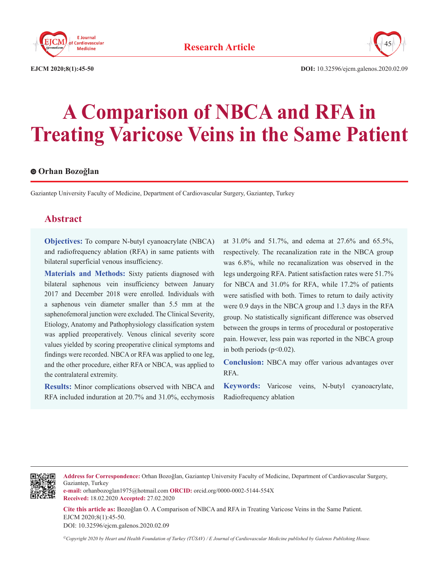



**EJCM 2020;8(1):45-50 DOI:** 10.32596/ejcm.galenos.2020.02.09

# **A Comparison of NBCA and RFA in Treating Varicose Veins in the Same Patient**

#### **Orhan Bozoğlan**

Gaziantep University Faculty of Medicine, Department of Cardiovascular Surgery, Gaziantep, Turkey

# **Abstract**

**Objectives:** To compare N-butyl cyanoacrylate (NBCA) and radiofrequency ablation (RFA) in same patients with bilateral superficial venous insufficiency.

**Materials and Methods:** Sixty patients diagnosed with bilateral saphenous vein insufficiency between January 2017 and December 2018 were enrolled. Individuals with a saphenous vein diameter smaller than 5.5 mm at the saphenofemoral junction were excluded. The Clinical Severity, Etiology, Anatomy and Pathophysiology classification system was applied preoperatively. Venous clinical severity score values yielded by scoring preoperative clinical symptoms and findings were recorded. NBCA or RFA was applied to one leg, and the other procedure, either RFA or NBCA, was applied to the contralateral extremity.

**Results:** Minor complications observed with NBCA and RFA included induration at 20.7% and 31.0%, ecchymosis

at 31.0% and 51.7%, and edema at 27.6% and 65.5%, respectively. The recanalization rate in the NBCA group was 6.8%, while no recanalization was observed in the legs undergoing RFA. Patient satisfaction rates were 51.7% for NBCA and 31.0% for RFA, while 17.2% of patients were satisfied with both. Times to return to daily activity were 0.9 days in the NBCA group and 1.3 days in the RFA group. No statistically significant difference was observed between the groups in terms of procedural or postoperative pain. However, less pain was reported in the NBCA group in both periods  $(p<0.02)$ .

**Conclusion:** NBCA may offer various advantages over RFA.

**Keywords:** Varicose veins, N-butyl cyanoacrylate, Radiofrequency ablation



**Address for Correspondence:** Orhan Bozoğlan, Gaziantep University Faculty of Medicine, Department of Cardiovascular Surgery, Gaziantep, Turkey

**e-mail:** orhanbozoglan1975@hotmail.com **ORCID:** orcid.org/0000-0002-5144-554X **Received:** 18.02.2020 **Accepted:** 27.02.2020

**Cite this article as:** Bozoğlan O. A Comparison of NBCA and RFA in Treating Varicose Veins in the Same Patient. EJCM 2020;8(1):45-50.

DOI: 10.32596/ejcm.galenos.2020.02.09

*©Copyright 2020 by Heart and Health Foundation of Turkey (TÜSAV) / E Journal of Cardiovascular Medicine published by Galenos Publishing House.*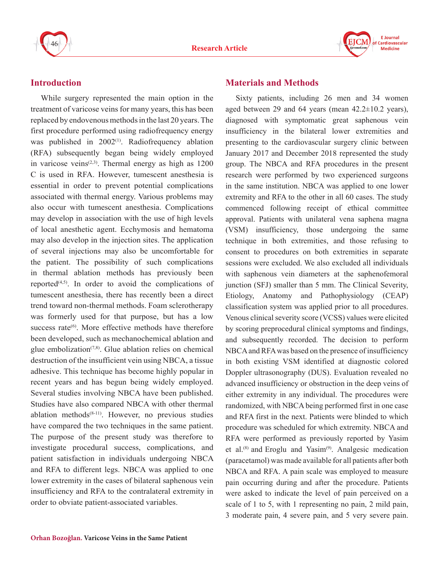



# **Introduction**

While surgery represented the main option in the treatment of varicose veins for many years, this has been replaced by endovenous methods in the last 20 years. The first procedure performed using radiofrequency energy was published in  $2002^{(1)}$ . Radiofrequency ablation (RFA) subsequently began being widely employed in varicose veins<sup> $(2,3)$ </sup>. Thermal energy as high as  $1200$ C is used in RFA. However, tumescent anesthesia is essential in order to prevent potential complications associated with thermal energy. Various problems may also occur with tumescent anesthesia. Complications may develop in association with the use of high levels of local anesthetic agent. Ecchymosis and hematoma may also develop in the injection sites. The application of several injections may also be uncomfortable for the patient. The possibility of such complications in thermal ablation methods has previously been reported $(4,5)$ . In order to avoid the complications of tumescent anesthesia, there has recently been a direct trend toward non-thermal methods. Foam sclerotherapy was formerly used for that purpose, but has a low success rate<sup>(6)</sup>. More effective methods have therefore been developed, such as mechanochemical ablation and glue embolization<sup> $(7,8)$ </sup>. Glue ablation relies on chemical destruction of the insufficient vein using NBCA, a tissue adhesive. This technique has become highly popular in recent years and has begun being widely employed. Several studies involving NBCA have been published. Studies have also compared NBCA with other thermal ablation methods $(8-11)$ . However, no previous studies have compared the two techniques in the same patient. The purpose of the present study was therefore to investigate procedural success, complications, and patient satisfaction in individuals undergoing NBCA and RFA to different legs. NBCA was applied to one lower extremity in the cases of bilateral saphenous vein insufficiency and RFA to the contralateral extremity in order to obviate patient-associated variables.

# **Materials and Methods**

Sixty patients, including 26 men and 34 women aged between 29 and 64 years (mean  $42.2 \pm 10.2$  years), diagnosed with symptomatic great saphenous vein insufficiency in the bilateral lower extremities and presenting to the cardiovascular surgery clinic between January 2017 and December 2018 represented the study group. The NBCA and RFA procedures in the present research were performed by two experienced surgeons in the same institution. NBCA was applied to one lower extremity and RFA to the other in all 60 cases. The study commenced following receipt of ethical committee approval. Patients with unilateral vena saphena magna (VSM) insufficiency, those undergoing the same technique in both extremities, and those refusing to consent to procedures on both extremities in separate sessions were excluded. We also excluded all individuals with saphenous vein diameters at the saphenofemoral junction (SFJ) smaller than 5 mm. The Clinical Severity, Etiology, Anatomy and Pathophysiology (CEAP) classification system was applied prior to all procedures. Venous clinical severity score (VCSS) values were elicited by scoring preprocedural clinical symptoms and findings, and subsequently recorded. The decision to perform NBCA and RFA was based on the presence of insufficiency in both existing VSM identified at diagnostic colored Doppler ultrasonography (DUS). Evaluation revealed no advanced insufficiency or obstruction in the deep veins of either extremity in any individual. The procedures were randomized, with NBCA being performed first in one case and RFA first in the next. Patients were blinded to which procedure was scheduled for which extremity. NBCA and RFA were performed as previously reported by Yasim et al. $(8)$  and Eroglu and Yasim $(9)$ . Analgesic medication (paracetamol) was made available for all patients after both NBCA and RFA. A pain scale was employed to measure pain occurring during and after the procedure. Patients were asked to indicate the level of pain perceived on a scale of 1 to 5, with 1 representing no pain, 2 mild pain, 3 moderate pain, 4 severe pain, and 5 very severe pain.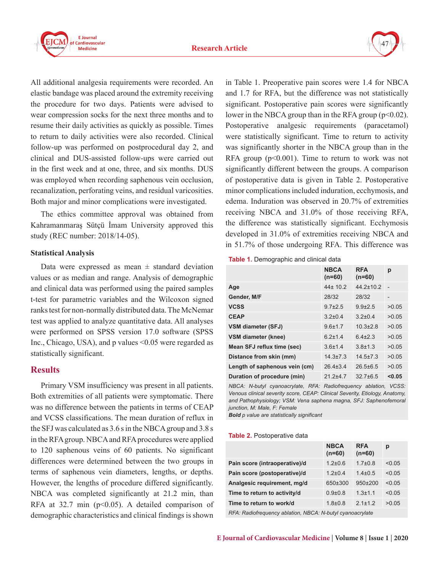



All additional analgesia requirements were recorded. An elastic bandage was placed around the extremity receiving the procedure for two days. Patients were advised to wear compression socks for the next three months and to resume their daily activities as quickly as possible. Times to return to daily activities were also recorded. Clinical follow-up was performed on postprocedural day 2, and clinical and DUS-assisted follow-ups were carried out in the first week and at one, three, and six months. DUS was employed when recording saphenous vein occlusion, recanalization, perforating veins, and residual varicosities. Both major and minor complications were investigated.

The ethics committee approval was obtained from Kahramanmaraş Sütçü İmam University approved this study (REC number: 2018/14-05).

#### **Statistical Analysis**

Data were expressed as mean  $\pm$  standard deviation values or as median and range. Analysis of demographic and clinical data was performed using the paired samples t-test for parametric variables and the Wilcoxon signed ranks test for non-normally distributed data. The McNemar test was applied to analyze quantitative data. All analyses were performed on SPSS version 17.0 software (SPSS Inc., Chicago, USA), and p values <0.05 were regarded as statistically significant.

### **Results**

Primary VSM insufficiency was present in all patients. Both extremities of all patients were symptomatic. There was no difference between the patients in terms of CEAP and VCSS classifications. The mean duration of reflux in the SFJ was calculated as 3.6 s in the NBCA group and 3.8 s in the RFA group. NBCA and RFA procedures were applied to 120 saphenous veins of 60 patients. No significant differences were determined between the two groups in terms of saphenous vein diameters, lengths, or depths. However, the lengths of procedure differed significantly. NBCA was completed significantly at 21.2 min, than RFA at 32.7 min ( $p<0.05$ ). A detailed comparison of demographic characteristics and clinical findings is shown

in Table 1. Preoperative pain scores were 1.4 for NBCA and 1.7 for RFA, but the difference was not statistically significant. Postoperative pain scores were significantly lower in the NBCA group than in the RFA group  $(p<0.02)$ . Postoperative analgesic requirements (paracetamol) were statistically significant. Time to return to activity was significantly shorter in the NBCA group than in the RFA group  $(p<0.001)$ . Time to return to work was not significantly different between the groups. A comparison of postoperative data is given in Table 2. Postoperative minor complications included induration, ecchymosis, and edema. Induration was observed in 20.7% of extremities receiving NBCA and 31.0% of those receiving RFA, the difference was statistically significant. Ecchymosis developed in 31.0% of extremities receiving NBCA and in 51.7% of those undergoing RFA. This difference was

**Table 1.** Demographic and clinical data

|                               | <b>NBCA</b><br>$(n=60)$ | <b>RFA</b><br>$(n=60)$ | р                        |
|-------------------------------|-------------------------|------------------------|--------------------------|
| Age                           | $44 \pm 10.2$           | $442+102$              | $\overline{\phantom{a}}$ |
| Gender, M/F                   | 28/32                   | 28/32                  | $\overline{\phantom{0}}$ |
| <b>VCSS</b>                   | $9.7 \pm 2.5$           | $9.9{\pm}2.5$          | >0.05                    |
| <b>CEAP</b>                   | $3.2 \pm 0.4$           | $3.2 \pm 0.4$          | >0.05                    |
| <b>VSM diameter (SFJ)</b>     | $9.6 \pm 1.7$           | $10.3 + 2.8$           | >0.05                    |
| <b>VSM diameter (knee)</b>    | $62+14$                 | $64+23$                | >0.05                    |
| Mean SFJ reflux time (sec)    | $3.6 + 1.4$             | $38+13$                | >0.05                    |
| Distance from skin (mm)       | $14.3 \pm 7.3$          | $14.5 \pm 7.3$         | >0.05                    |
| Length of saphenous vein (cm) | $26.4 \pm 3.4$          | $26.5\pm 6.5$          | >0.05                    |
| Duration of procedure (min)   | $212+47$                | $32.7\pm 6.5$          | < 0.05                   |

*NBCA: N-butyl cyanoacrylate, RFA: Radiofrequency ablation, VCSS: Venous clinical severity score, CEAP: Clinical Severity, Etiology, Anatomy, and Pathophysiology; VSM: Vena saphena magna, SFJ: Saphenofemoral junction, M: Male, F: Female*

*Bold p value are statistically significant*

#### **Table 2.** Postoperative data

|                               | <b>NBCA</b><br>$(n=60)$ | <b>RFA</b><br>$(n=60)$ | р      |  |
|-------------------------------|-------------------------|------------------------|--------|--|
| Pain score (intraoperative)/d | $1.2 \pm 0.6$           | $1.7 \pm 0.8$          | < 0.05 |  |
| Pain score (postoperative)/d  | $1.2 \pm 0.4$           | $1.4 \pm 0.5$          | < 0.05 |  |
| Analgesic requirement, mg/d   | 650±300                 | 950±200                | < 0.05 |  |
| Time to return to activity/d  | $0.9 + 0.8$             | $1.3 + 1.1$            | < 0.05 |  |
| Time to return to work/d      | $1.8 + 0.8$             | $21+12$                | >0.05  |  |
|                               |                         |                        |        |  |

*RFA: Radiofrequency ablation, NBCA: N-butyl cyanoacrylate*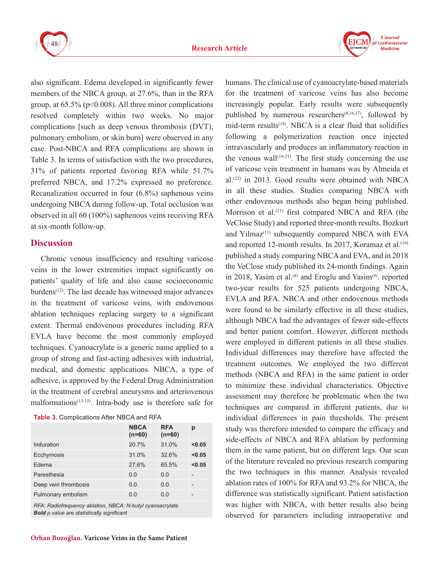

also significant. Edema developed in significantly fewer members of the NBCA group, at 27.6%, than in the RFA group, at  $65.5\%$  ( $p<0.008$ ). All three minor complications resolved completely within two weeks. No major complications [such as deep venous thrombosis (DVT), pulmonary embolism, or skin burn] were observed in any case. Post-NBCA and RFA complications are shown in Table 3. In terms of satisfaction with the two procedures, 31% of patients reported favoring RFA while 51.7% preferred NBCA, and 17.2% expressed no preference. Recanalization occurred in four (6.8%) saphenous veins undergoing NBCA during follow-up. Total occlusion was observed in all 60 (100%) saphenous veins receiving RFA at six-month follow-up.

# **Discussion**

Chronic venous insufficiency and resulting varicose veins in the lower extremities impact significantly on patients' quality of life and also cause socioeconomic burdens<sup>(12)</sup>. The last decade has witnessed major advances in the treatment of varicose veins, with endovenous ablation techniques replacing surgery to a significant extent. Thermal endovenous procedures including RFA EVLA have become the most commonly employed techniques. Cyanoacrylate is a generic name applied to a group of strong and fast-acting adhesives with industrial, medical, and domestic applications. NBCA, a type of adhesive, is approved by the Federal Drug Administration in the treatment of cerebral aneurysms and arteriovenous malformations $(13-15)$ . Intra-body use is therefore safe for

| <b>Table 3.</b> Complications After NBCA and RFA |  |
|--------------------------------------------------|--|
|--------------------------------------------------|--|

|                      | <b>NBCA</b><br>$(n=60)$ | <b>RFA</b><br>$(n=60)$ | р      |
|----------------------|-------------------------|------------------------|--------|
| Induration           | 20.7%                   | 31.0%                  | < 0.05 |
| Ecchymosis           | 31.0%                   | 32.6%                  | < 0.05 |
| Edema                | 27.6%                   | 65.5%                  | < 0.05 |
| Paresthesia          | 0.0                     | 0.0                    |        |
| Deep vein thrombosis | 0.0                     | 0.0                    |        |
| Pulmonary embolism   | 0.0                     | 0.0                    |        |

*RFA: Radiofrequency ablation, NBCA: N-butyl cyanoacrylate Bold p value are statistically significant*

humans. The clinical use of cyanoacrylate-based materials for the treatment of varicose veins has also become increasingly popular. Early results were subsequently published by numerous researchers<sup> $(8,16,17)$ </sup>, followed by mid-term results<sup>(18)</sup>. NBCA is a clear fluid that solidifies following a polymerization reaction once injected intravascularly and produces an inflammatory reaction in the venous wall<sup> $(19-21)$ </sup>. The first study concerning the use of varicose vein treatment in humans was by Almeida et al.(22) in 2013. Good results were obtained with NBCA in all these studies. Studies comparing NBCA with other endovenous methods also began being published. Morrison et al.<sup>(21)</sup> first compared NBCA and RFA (the VeClose Study) and reported three-month results. Bozkurt and  $Y_1$ lmaz<sup> $(11)$ </sup> subsequently compared NBCA with EVA and reported 12-month results. In 2017, Koramaz et al.<sup>(10)</sup> published a study comparing NBCA and EVA, and in 2018 the VeClose study published its 24-month findings. Again in 2018, Yasim et al.<sup>(8)</sup> and Eroglu and Yasim<sup>(9)</sup>. reported two-year results for 525 patients undergoing NBCA, EVLA and RFA. NBCA and other endovenous methods were found to be similarly effective in all these studies, although NBCA had the advantages of fewer side-effects and better patient comfort. However, different methods were employed in different patients in all these studies. Individual differences may therefore have affected the treatment outcomes. We employed the two different methods (NBCA and RFA) in the same patient in order to minimize these individual characteristics. Objective assessment may therefore be problematic when the two techniques are compared in different patients, due to individual differences in pain thresholds. The present study was therefore intended to compare the efficacy and side-effects of NBCA and RFA ablation by performing them in the same patient, but on different legs. Our scan of the literature revealed no previous research comparing the two techniques in this manner. Analysis revealed ablation rates of 100% for RFA and 93.2% for NBCA, the difference was statistically significant. Patient satisfaction was higher with NBCA, with better results also being observed for parameters including intraoperative and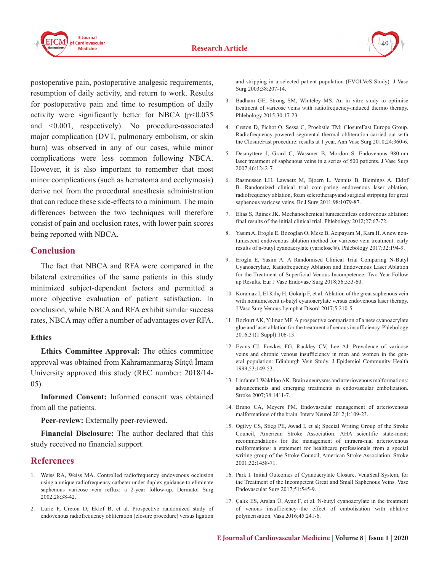

postoperative pain, postoperative analgesic requirements, resumption of daily activity, and return to work. Results for postoperative pain and time to resumption of daily activity were significantly better for NBCA  $(p<0.035$ and <0.001, respectively). No procedure-associated major complication (DVT, pulmonary embolism, or skin burn) was observed in any of our cases, while minor complications were less common following NBCA. However, it is also important to remember that most minor complications (such as hematoma and ecchymosis) derive not from the procedural anesthesia administration that can reduce these side-effects to a minimum. The main differences between the two techniques will therefore consist of pain and occlusion rates, with lower pain scores being reported with NBCA.

# **Conclusion**

The fact that NBCA and RFA were compared in the bilateral extremities of the same patients in this study minimized subject-dependent factors and permitted a more objective evaluation of patient satisfaction. In conclusion, while NBCA and RFA exhibit similar success rates, NBCA may offer a number of advantages over RFA.

#### **Ethics**

**Ethics Committee Approval:** The ethics committee approval was obtained from Kahramanmaraş Sütçü İmam University approved this study (REC number: 2018/14- 05).

**Informed Consent:** Informed consent was obtained from all the patients.

**Peer-review:** Externally peer-reviewed.

**Financial Disclosure:** The author declared that this study received no financial support.

# **References**

- 1. Weiss RA, Weiss MA. Controlled radiofrequency endovenous occlusion using a unique radiofrequency catheter under duplex guidance to eliminate saphenous varicose vein reflux: a 2-year follow-up. Dermatol Surg 2002;28:38-42.
- 2. Lurie F, Creton D, Eklof B, et al. Prospective randomized study of endovenous radiofrequency obliteration (closure procedure) versus ligation

and stripping in a selected patient population (EVOLVeS Study). J Vasc Surg 2003;38:207-14.

- 3. Badham GE, Strong SM, Whiteley MS. An in vitro study to optimise treatment of varicose veins with radiofrequency-induced thermo therapy. Phlebology 2015;30:17-23.
- 4. Creton D, Pichot O, Sessa C, Proebstle TM; ClosureFast Europe Group. Radiofrequency-powered segmental thermal obliteration carried out with the ClosureFast procedure: results at 1 year. Ann Vasc Surg 2010;24:360-6.
- 5. Desmyttere J, Grard C, Wassmer B, Mordon S. Endovenous 980-nm laser treatment of saphenous veins in a series of 500 patients. J Vasc Surg 2007;46:1242-7.
- 6. Rasmussen LH, Lawaetz M, Bjoern L, Vennits B, Blemings A, Eklof B. Randomized clinical trial com-paring endovenous laser ablation, radiofrequency ablation, foam sclerotherapyand surgical stripping for great saphenous varicose veins. Br J Surg 2011;98:1079-87.
- 7. Elias S, Raines JK. Mechanochemical tumescentless endovenous ablation: final results of the initial clinical trial. Phlebology 2012;27:67-72.
- 8. Yasim A, Eroglu E, Bozoglan O, Mese B, Acıpayam M, Kara H. A new nontumescent endovenous ablation method for varicose vein treatment: early results of n-butyl cyanoacrylate (variclose®). Phlebology 2017;32:194-9.
- 9. Eroglu E, Yasim A. A Randomised Clinical Trial Comparing N-Butyl Cyanoacrylate, Radiofrequency Ablation and Endovenous Laser Ablation for the Treatment of Superficial Venous Incompetence: Two Year Follow up Results. Eur J Vasc Endovasc Surg 2018;56:553-60.
- 10. Koramaz İ, El Kılıç H, Gökalp F, et al. Ablation of the great saphenous vein with nontumescent n-butyl cyanoacrylate versus endovenous laser therapy. J Vasc Surg Venous Lymphat Disord 2017;5:210-5.
- 11. Bozkurt AK, Yılmaz MF. A prospective comparison of a new cyanoacrylate glue and laser ablation for the treatment of venous insufficiency. Phlebology 2016;31(1 Suppl):106-13.
- 12. Evans CJ, Fowkes FG, Ruckley CV, Lee AJ. Prevalence of varicose veins and chronic venous insufficiency in men and women in the general population: Edinburgh Vein Study. J Epidemiol Community Health 1999;53:149-53.
- 13. Linfante I, Wakhloo AK. Brain aneurysms and arteriovenous malformations: advancements and emerging treatments in endovascular embolization. Stroke 2007;38:1411-7.
- 14. Bruno CA, Meyers PM. Endovascular management of arteriovenous malformations of the brain. Interv Neurol 2012;1:109-23.
- 15. Ogilvy CS, Stieg PE, Awad I, et al; Special Writing Group of the Stroke Council, American Stroke Association. AHA scientific state-ment: recommendations for the management of intracra-nial arteriovenous malformations: a statement for healthcare professionals from a special writing group of the Stroke Council, American Stroke Association. Stroke 2001;32:1458-71.
- 16. Park I. Initial Outcomes of Cyanoacrylate Closure, VenaSeal System, for the Treatment of the Incompetent Great and Small Saphenous Veins. Vasc Endovascular Surg 2017;51:545-9.
- 17. Çalık ES, Arslan Ü, Ayaz F, et al. N-butyl cyanoacrylate in the treatment of venous insufficiency--the effect of embolisation with ablative polymerisation. Vasa 2016;45:241-6.